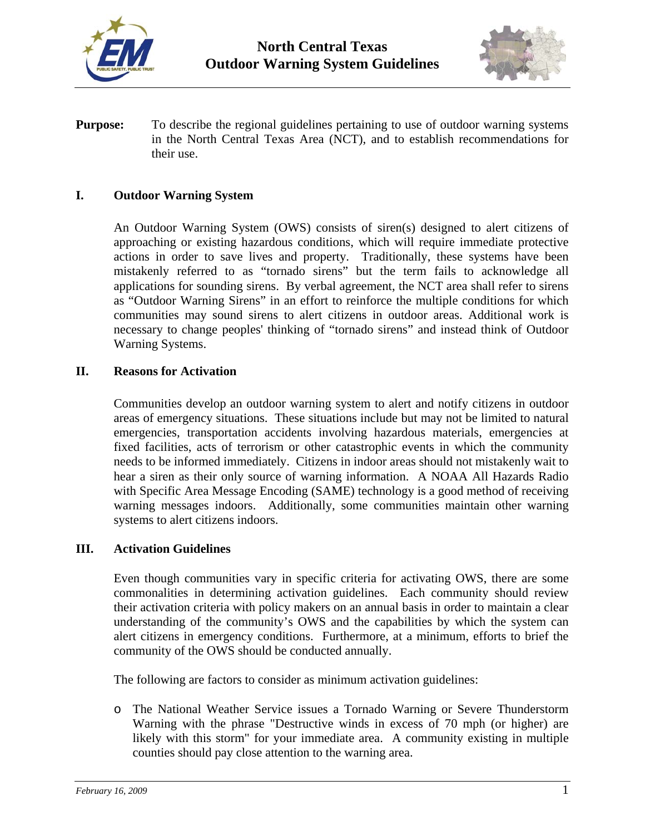



**Purpose:** To describe the regional guidelines pertaining to use of outdoor warning systems in the North Central Texas Area (NCT), and to establish recommendations for their use.

### **I. Outdoor Warning System**

An Outdoor Warning System (OWS) consists of siren(s) designed to alert citizens of approaching or existing hazardous conditions, which will require immediate protective actions in order to save lives and property. Traditionally, these systems have been mistakenly referred to as "tornado sirens" but the term fails to acknowledge all applications for sounding sirens. By verbal agreement, the NCT area shall refer to sirens as "Outdoor Warning Sirens" in an effort to reinforce the multiple conditions for which communities may sound sirens to alert citizens in outdoor areas. Additional work is necessary to change peoples' thinking of "tornado sirens" and instead think of Outdoor Warning Systems.

### **II. Reasons for Activation**

Communities develop an outdoor warning system to alert and notify citizens in outdoor areas of emergency situations. These situations include but may not be limited to natural emergencies, transportation accidents involving hazardous materials, emergencies at fixed facilities, acts of terrorism or other catastrophic events in which the community needs to be informed immediately. Citizens in indoor areas should not mistakenly wait to hear a siren as their only source of warning information. A NOAA All Hazards Radio with Specific Area Message Encoding (SAME) technology is a good method of receiving warning messages indoors. Additionally, some communities maintain other warning systems to alert citizens indoors.

### **III. Activation Guidelines**

Even though communities vary in specific criteria for activating OWS, there are some commonalities in determining activation guidelines. Each community should review their activation criteria with policy makers on an annual basis in order to maintain a clear understanding of the community's OWS and the capabilities by which the system can alert citizens in emergency conditions. Furthermore, at a minimum, efforts to brief the community of the OWS should be conducted annually.

The following are factors to consider as minimum activation guidelines:

o The National Weather Service issues a Tornado Warning or Severe Thunderstorm Warning with the phrase "Destructive winds in excess of 70 mph (or higher) are likely with this storm" for your immediate area. A community existing in multiple counties should pay close attention to the warning area.